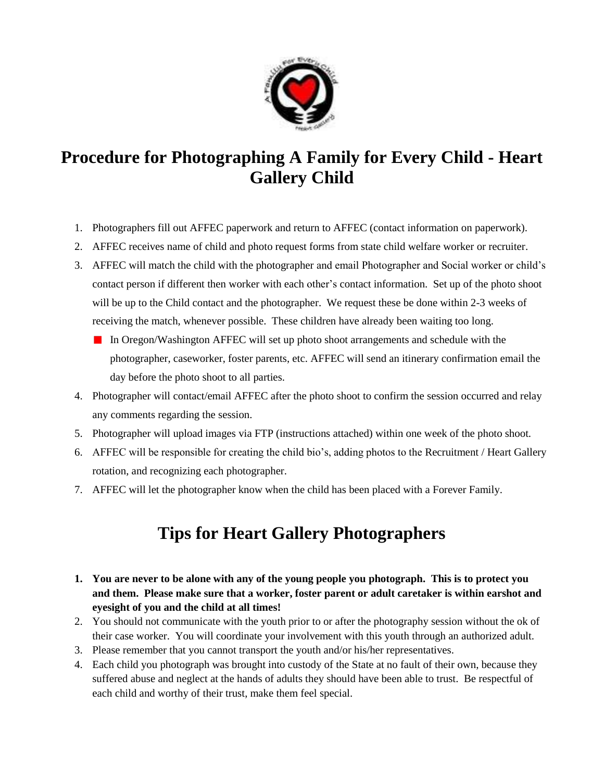

# **Procedure for Photographing A Family for Every Child - Heart Gallery Child**

- 1. Photographers fill out AFFEC paperwork and return to AFFEC (contact information on paperwork).
- 2. AFFEC receives name of child and photo request forms from state child welfare worker or recruiter.
- 3. AFFEC will match the child with the photographer and email Photographer and Social worker or child's contact person if different then worker with each other's contact information. Set up of the photo shoot will be up to the Child contact and the photographer. We request these be done within 2-3 weeks of receiving the match, whenever possible. These children have already been waiting too long.
	- In Oregon/Washington AFFEC will set up photo shoot arrangements and schedule with the photographer, caseworker, foster parents, etc. AFFEC will send an itinerary confirmation email the day before the photo shoot to all parties.
- 4. Photographer will contact/email AFFEC after the photo shoot to confirm the session occurred and relay any comments regarding the session.
- 5. Photographer will upload images via FTP (instructions attached) within one week of the photo shoot.
- 6. AFFEC will be responsible for creating the child bio's, adding photos to the Recruitment / Heart Gallery rotation, and recognizing each photographer.
- 7. AFFEC will let the photographer know when the child has been placed with a Forever Family.

# **Tips for Heart Gallery Photographers**

- **1. You are never to be alone with any of the young people you photograph. This is to protect you and them. Please make sure that a worker, foster parent or adult caretaker is within earshot and eyesight of you and the child at all times!**
- 2. You should not communicate with the youth prior to or after the photography session without the ok of their case worker. You will coordinate your involvement with this youth through an authorized adult.
- 3. Please remember that you cannot transport the youth and/or his/her representatives.
- 4. Each child you photograph was brought into custody of the State at no fault of their own, because they suffered abuse and neglect at the hands of adults they should have been able to trust. Be respectful of each child and worthy of their trust, make them feel special.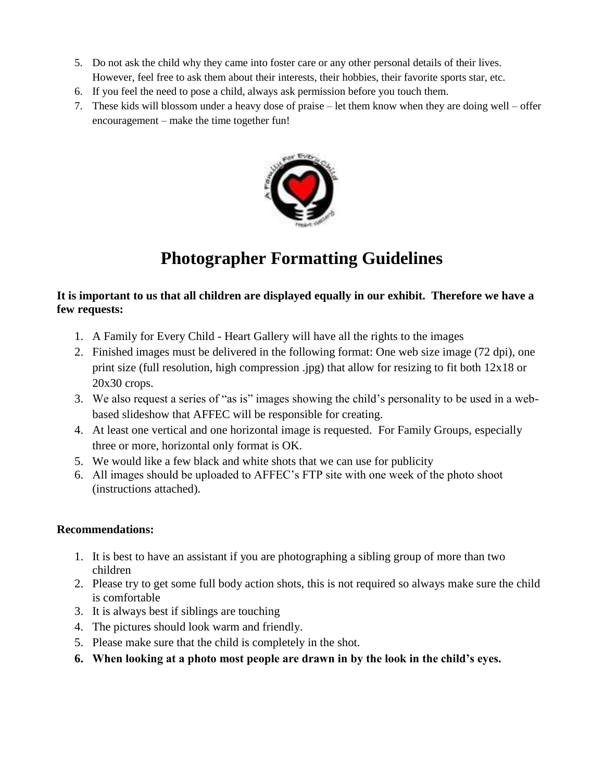- 5. Do not ask the child why they came into foster care or any other personal details of their lives. However, feel free to ask them about their interests, their hobbies, their favorite sports star, etc.
- 6. If you feel the need to pose a child, always ask permission before you touch them.
- 7. These kids will blossom under a heavy dose of praise let them know when they are doing well offer encouragement – make the time together fun!



# **Photographer Formatting Guidelines**

#### **It is important to us that all children are displayed equally in our exhibit. Therefore we have a few requests:**

- 1. A Family for Every Child Heart Gallery will have all the rights to the images
- 2. Finished images must be delivered in the following format: One web size image (72 dpi), one print size (full resolution, high compression .jpg) that allow for resizing to fit both 12x18 or 20x30 crops.
- 3. We also request a series of "as is" images showing the child's personality to be used in a webbased slideshow that AFFEC will be responsible for creating.
- 4. At least one vertical and one horizontal image is requested. For Family Groups, especially three or more, horizontal only format is OK.
- 5. We would like a few black and white shots that we can use for publicity
- 6. All images should be uploaded to AFFEC's FTP site with one week of the photo shoot (instructions attached).

#### **Recommendations:**

- 1. It is best to have an assistant if you are photographing a sibling group of more than two children
- 2. Please try to get some full body action shots, this is not required so always make sure the child is comfortable
- 3. It is always best if siblings are touching
- 4. The pictures should look warm and friendly.
- 5. Please make sure that the child is completely in the shot.
- **6. When looking at a photo most people are drawn in by the look in the child's eyes.**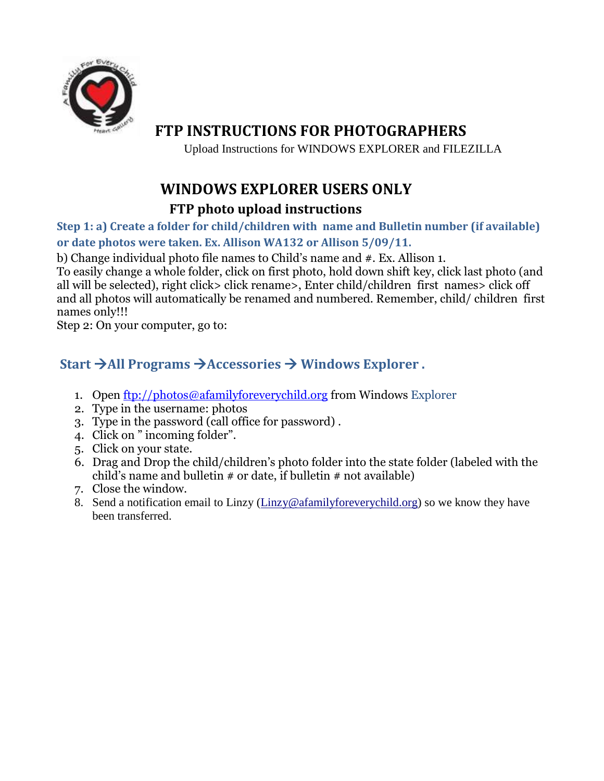

## **FTP INSTRUCTIONS FOR PHOTOGRAPHERS**

Upload Instructions for WINDOWS EXPLORER and FILEZILLA

## **WINDOWS EXPLORER USERS ONLY**

### **FTP photo upload instructions**

**Step 1: a) Create a folder for child/children with name and Bulletin number (if available) or date photos were taken. Ex. Allison WA132 or Allison 5/09/11.** 

b) Change individual photo file names to Child's name and #. Ex. Allison 1.

To easily change a whole folder, click on first photo, hold down shift key, click last photo (and all will be selected), right click> click rename>, Enter child/children first names> click off and all photos will automatically be renamed and numbered. Remember, child/ children first names only!!!

Step 2: On your computer, go to:

### **Start All Programs Accessories Windows Explorer .**

- 1. Open [ftp://photos@afamilyforeverychild.org](ftp://photos@afamilyforeverychild.org/) from Windows Explorer
- 2. Type in the username: photos
- 3. Type in the password (call office for password) .
- 4. Click on " incoming folder".
- 5. Click on your state.
- 6. Drag and Drop the child/children's photo folder into the state folder (labeled with the child's name and bulletin  $\#$  or date, if bulletin  $\#$  not available)
- 7. Close the window.
- 8. Send a notification email to Linzy (Linzy@afamilyforeverychild.org) so we know they have been transferred.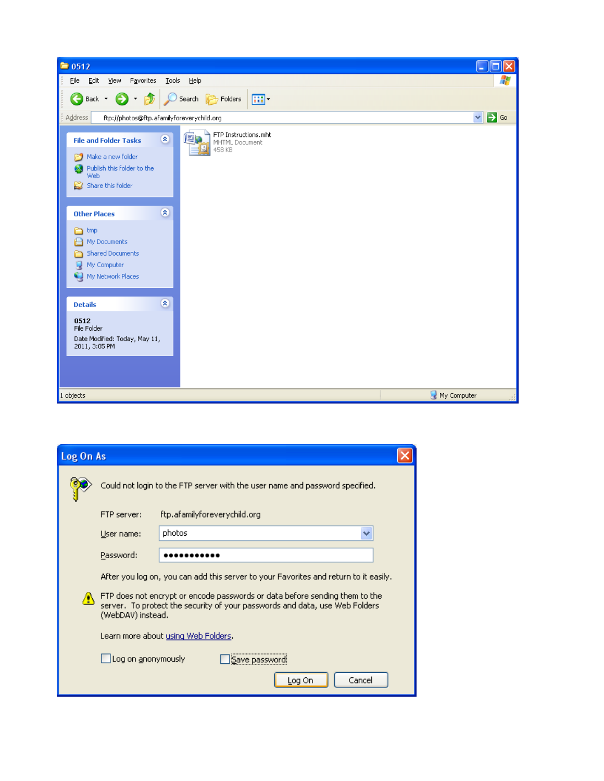| $\approx 0512$                                                                                                                                                                                               | п<br>н                          |
|--------------------------------------------------------------------------------------------------------------------------------------------------------------------------------------------------------------|---------------------------------|
| Edit<br>Eile<br>View<br>Favorites<br><b>Tools</b><br>Help                                                                                                                                                    | $\ddot{\phantom{r}}$            |
| €<br>丽。<br>P<br>Search <b>P</b> Folders<br>Back *<br>$\star$                                                                                                                                                 |                                 |
| Address<br>ftp://photos@ftp.afamilyforeverychild.org                                                                                                                                                         | $\mathbf{P}$ Go<br>$\checkmark$ |
| FTP Instructions.mht<br>四国<br>$\pmb{\widehat{\kappa}}$<br><b>File and Folder Tasks</b><br>MHTML Document<br>458 KB<br>Make a new folder<br>69<br>Publish this folder to the<br>Ø<br>Web<br>Share this folder |                                 |
| $\otimes$<br><b>Other Places</b><br>a<br>tmp<br>My Documents<br>⊟<br>Shared Documents<br>A<br>My Computer<br><sup>(2)</sup> My Network Places                                                                |                                 |
| $\pmb{\widehat{\kappa}}$<br><b>Details</b>                                                                                                                                                                   |                                 |
| 0512<br>File Folder<br>Date Modified: Today, May 11,<br>2011, 3:05 PM                                                                                                                                        |                                 |
| 1 objects                                                                                                                                                                                                    | My Computer                     |

| Log On As |                                                                                                                                                                                 |                                                                                      |  |  |  |  |  |  |  |
|-----------|---------------------------------------------------------------------------------------------------------------------------------------------------------------------------------|--------------------------------------------------------------------------------------|--|--|--|--|--|--|--|
|           | Could not login to the FTP server with the user name and password specified.                                                                                                    |                                                                                      |  |  |  |  |  |  |  |
|           | FTP server:                                                                                                                                                                     | ftp.afamilyforeverychild.org                                                         |  |  |  |  |  |  |  |
|           | User name:                                                                                                                                                                      | photos<br>v                                                                          |  |  |  |  |  |  |  |
|           | Password:                                                                                                                                                                       |                                                                                      |  |  |  |  |  |  |  |
|           |                                                                                                                                                                                 | After you log on, you can add this server to your Favorites and return to it easily. |  |  |  |  |  |  |  |
| Æ,        | FTP does not encrypt or encode passwords or data before sending them to the<br>server. To protect the security of your passwords and data, use Web Folders<br>(WebDAV) instead. |                                                                                      |  |  |  |  |  |  |  |
|           | Learn more about using Web Folders.                                                                                                                                             |                                                                                      |  |  |  |  |  |  |  |
|           |                                                                                                                                                                                 | Log on anonymously<br>Save passwo                                                    |  |  |  |  |  |  |  |
|           |                                                                                                                                                                                 | Cancel<br>Log On                                                                     |  |  |  |  |  |  |  |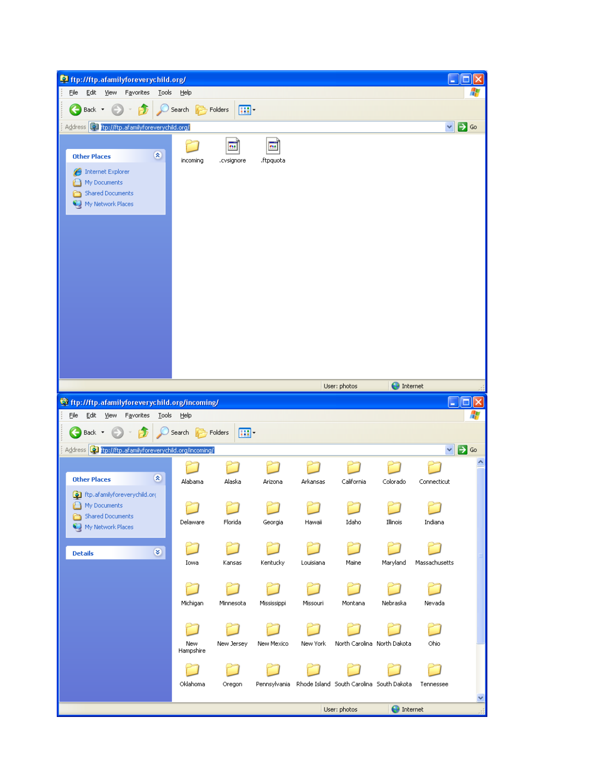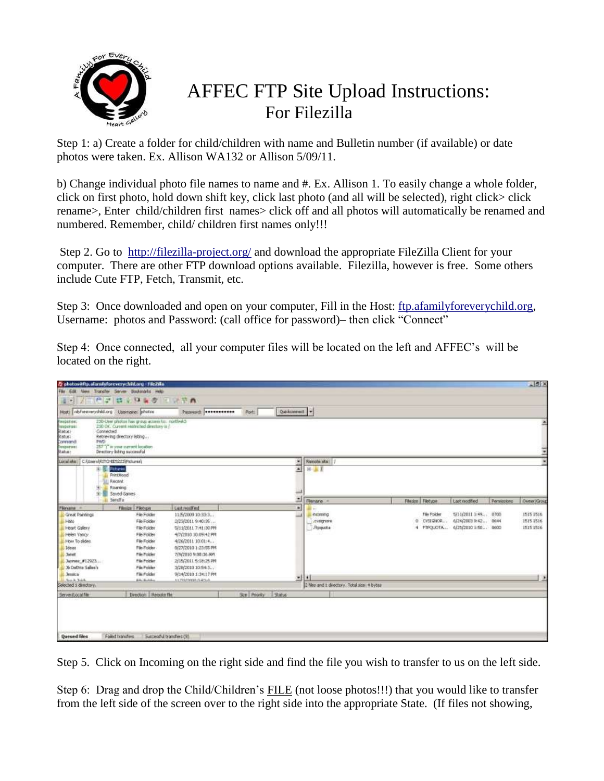

# AFFEC FTP Site Upload Instructions: For Filezilla

Step 1: a) Create a folder for child/children with name and Bulletin number (if available) or date photos were taken. Ex. Allison WA132 or Allison 5/09/11.

b) Change individual photo file names to name and #. Ex. Allison 1. To easily change a whole folder, click on first photo, hold down shift key, click last photo (and all will be selected), right click> click rename>, Enter child/children first names> click off and all photos will automatically be renamed and numbered. Remember, child/ children first names only!!!

Step 2. Go to http://filezilla-project.org/ and download the appropriate FileZilla Client for your computer. There are other FTP download options available. Filezilla, however is free. Some others include Cute FTP, Fetch, Transmit, etc.

Step 3: Once downloaded and open on your computer, Fill in the Host: ftp.afamilyforeverychild.org, Username: photos and Password: (call office for password)– then click "Connect"

Step 4: Once connected, all your computer files will be located on the left and AFFEC's will be located on the right.

|                                                                                                                                                                           | E shotos@ftp.alamiylereverychild.org - File2sta                                                                                                                                                               |                                                                                                                                                                                                                                 |              |                 |                                             |                  |             |                                                                                          |             | $-15x$                              |
|---------------------------------------------------------------------------------------------------------------------------------------------------------------------------|---------------------------------------------------------------------------------------------------------------------------------------------------------------------------------------------------------------|---------------------------------------------------------------------------------------------------------------------------------------------------------------------------------------------------------------------------------|--------------|-----------------|---------------------------------------------|------------------|-------------|------------------------------------------------------------------------------------------|-------------|-------------------------------------|
|                                                                                                                                                                           | File Edit View Transfer Server Bookmarks Help                                                                                                                                                                 |                                                                                                                                                                                                                                 |              |                 |                                             |                  |             |                                                                                          |             |                                     |
| 運用                                                                                                                                                                        | メニピン はんりゅう 三いでれ                                                                                                                                                                                               |                                                                                                                                                                                                                                 |              |                 |                                             |                  |             |                                                                                          |             |                                     |
|                                                                                                                                                                           | Host disformery child.org (Usernane) photos                                                                                                                                                                   | Passworth <b>Researchers</b>                                                                                                                                                                                                    | Port         | Quoisonnet: [*] |                                             |                  |             |                                                                                          |             |                                     |
| Fantonie:<br>texporter<br><b>BUBILIS</b><br>Ristus:<br>Connand<br><b>FWD</b><br><b>B</b> araporuses<br><b>Blahai</b> :                                                    | 230-User photos has group; access to: northwich<br>230 OK. Current restricted directory is j'<br>Connected<br>Retrieving directory listing<br>257 T' is your surront location<br>Directory listing successful |                                                                                                                                                                                                                                 |              |                 |                                             |                  |             |                                                                                          |             |                                     |
| Local alter: C: (Users) RTTO 4E5223(Patures)                                                                                                                              |                                                                                                                                                                                                               |                                                                                                                                                                                                                                 |              |                 | Renote sta: /                               |                  |             |                                                                                          |             |                                     |
| 41<br>÷                                                                                                                                                                   | <b>Control</b><br>PrintHood<br><b>Recent</b><br>Roaning<br>Saired Games                                                                                                                                       |                                                                                                                                                                                                                                 |              | and .           | ● 田本                                        |                  |             |                                                                                          |             |                                     |
|                                                                                                                                                                           | Sendin                                                                                                                                                                                                        |                                                                                                                                                                                                                                 |              | 긔               | Flerane -                                   | Fécsice Filetype |             | Last nodified                                                                            | Permissions | Owner/Group                         |
| Filmane -                                                                                                                                                                 | Filmize Filetype                                                                                                                                                                                              | <b>East moilfied</b>                                                                                                                                                                                                            |              | ٠               | <b>SERVICE</b>                              |                  |             |                                                                                          |             |                                     |
| Creat Paintings<br><b>Hats</b><br>Heart Gallery<br>Helen Vancy<br>How To sldes<br>L. Ideas<br><b>Jonet</b><br>Jaymes: #12923<br>3. 3b DeDita Sales's<br><b>B. Jessica</b> | File Folder<br>File Folder<br>File Folder<br>File Folder<br>File Folder<br>File Folder<br>File Folder<br>File Folder<br>File Polder<br>Får Folder                                                             | 11/5/2009 10:33:3<br>2/23/2011 9:40:35<br>5/11/2011 7:41:30 PM<br>4/7/2010 10:09:42 PM<br>4/26/2011 10:01:4<br>0/27/2010 1:23:55 PM<br>7/9/2010 9:00:36 AM<br>2/15/2011 5:18:25 PM<br>3/28/2010 10:54:3<br>9/14/2010 1:34:17 PM |              |                 | <b>Aconing</b><br>Licentgrone<br>Hippota    |                  | File Folder | 5/11/2011 1:49 0700<br>0 CVSEWOR  024/2003 P.42 0644<br>4 PTPQUOTA  6/25/2010 1:50  0600 |             | 1515 1516<br>1515 1516<br>1515 1516 |
| All Acade Asiah                                                                                                                                                           | Edu Building                                                                                                                                                                                                  | ALFAMMA ARTIA                                                                                                                                                                                                                   |              | $-111$          |                                             |                  |             |                                                                                          |             | 19                                  |
| Selected 1 directory                                                                                                                                                      |                                                                                                                                                                                                               |                                                                                                                                                                                                                                 |              |                 | 2 files and L directory. Total size 4 bytes |                  |             |                                                                                          |             |                                     |
| Server Edgal file                                                                                                                                                         | Deedline Renote The                                                                                                                                                                                           |                                                                                                                                                                                                                                 | See Priority | Satus.          |                                             |                  |             |                                                                                          |             |                                     |
| Queued files                                                                                                                                                              | Faled transfers<br>Successful transfers (9)                                                                                                                                                                   |                                                                                                                                                                                                                                 |              |                 |                                             |                  |             |                                                                                          |             |                                     |

Step 5. Click on Incoming on the right side and find the file you wish to transfer to us on the left side.

Step 6: Drag and drop the Child/Children's FILE (not loose photos!!!) that you would like to transfer from the left side of the screen over to the right side into the appropriate State. (If files not showing,